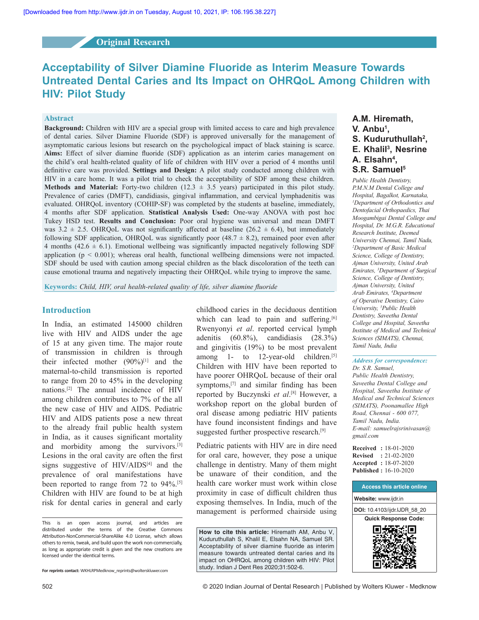# **Original Research**

# **Acceptability of Silver Diamine Fluoride as Interim Measure Towards Untreated Dental Caries and Its Impact on OHRQoL Among Children with HIV: Pilot Study**

#### **Abstract**

**Background:** Children with HIV are a special group with limited access to care and high prevalence of dental caries. Silver Diamine Fluoride (SDF) is approved universally for the management of asymptomatic carious lesions but research on the psychological impact of black staining is scarce. Aims: Effect of silver diamine fluoride (SDF) application as an interim caries management on the child's oral health-related quality of life of children with HIV over a period of 4 months until definitive care was provided. Settings and Design: A pilot study conducted among children with HIV in a care home. It was a pilot trial to check the acceptability of SDF among these children. **Methods and Material:** Forty-two children  $(12.3 \pm 3.5 \text{ years})$  participated in this pilot study. Prevalence of caries (DMFT), candidiasis, gingival inflammation, and cervical lymphadenitis was evaluated. OHRQoL inventory (COHIP-SF) was completed by the students at baseline, immediately, 4 months after SDF application. **Statistical Analysis Used:** One‑way ANOVA with post hoc Tukey HSD test. **Results and Conclusion:** Poor oral hygiene was universal and mean DMFT was  $3.2 \pm 2.5$ . OHRQoL was not significantly affected at baseline  $(26.2 \pm 6.4)$ , but immediately following SDF application, OHRQoL was significantly poor  $(48.7 \pm 8.2)$ , remained poor even after 4 months  $(42.6 \pm 6.1)$ . Emotional wellbeing was significantly impacted negatively following SDF application  $(p < 0.001)$ ; whereas oral health, functional wellbeing dimensions were not impacted. SDF should be used with caution among special children as the black discoloration of the teeth can cause emotional trauma and negatively impacting their OHRQoL while trying to improve the same.

**Keywords:** *Child, HIV, oral health‑related quality of life, silver diamine fluoride*

# **Introduction**

In India, an estimated 145000 children live with HIV and AIDS under the age of 15 at any given time. The major route of transmission in children is through their infected mother  $(90\%)$ <sup>[1]</sup> and the maternal-to-child transmission is reported to range from 20 to  $45\%$  in the developing nations.<sup>[2]</sup> The annual incidence of HIV among children contributes to 7% of the all the new case of HIV and AIDS. Pediatric HIV and AIDS patients pose a new threat to the already frail public health system in India, as it causes significant mortality and morbidity among the survivors.<sup>[3]</sup> Lesions in the oral cavity are often the first signs suggestive of  $HIV/AIDS^{[4]}$  and the prevalence of oral manifestations have been reported to range from  $72$  to  $94\%$ .<sup>[5]</sup> Children with HIV are found to be at high risk for dental caries in general and early 

childhood caries in the deciduous dentition which can lead to pain and suffering.<sup>[6]</sup> Rwenyonyi *et al.* reported cervical lymph adenitis  $(60.8\%)$ , candidiasis  $(28.3\%)$ and gingivitis  $(19%)$  to be most prevalent among 1- to 12-year-old children.<sup>[5]</sup> Children with HIV have been reported to have poorer OHRQoL because of their oral symptoms, $[7]$  and similar finding has been reported by Buczynski *et al*.<sup>[8]</sup> However, a workshop report on the global burden of oral disease among pediatric HIV patients have found inconsistent findings and have suggested further prospective research.<sup>[9]</sup>

Pediatric patients with HIV are in dire need for oral care, however, they pose a unique challenge in dentistry. Many of them might be unaware of their condition, and the health care worker must work within close proximity in case of difficult children thus exposing themselves. In India, much of the management is performed chairside using

**How to cite this article:** Hiremath AM, Anbu V, Kuduruthullah S, Khalil E, Elsahn NA, Samuel SR. Acceptability of silver diamine fluoride as interim measure towards untreated dental caries and its impact on OHRQoL among children with HIV: Pilot study. Indian J Dent Res 2020;31:502-6.

# **A.M. Hiremath, V. Anbu<sup>1</sup> , S. Kuduruthullah<sup>2</sup> , E. Khalil<sup>3</sup> , Nesrine A. Elsahn<sup>4</sup> , S.R. Samuel<sup>5</sup>**

*Public Health Dentistry, P.M.N.M Dental College and Hospital, Bagalkot, Karnataka, <sup>1</sup>Department of Orthodontics and Dentofacial Orthopaedics, Thai Moogambigai Dental College and Hospital, Dr. M.G.R. Educational Research Institute, Deemed University Chennai, Tamil Nadu, <sup>2</sup>Department of Basic Medical Science, College of Dentistry, Ajman University, United Arab Emirates, <sup>3</sup>Department of Surgical Science, College of Dentistry, Ajman University, United Arab Emirates, <sup>4</sup>Department of Operative Dentistry, Cairo University, <sup>5</sup>Public Health Dentistry, Saveetha Dental College and Hospital, Saveetha Institute of Medical and Technical Sciences (SIMATS), Chennai, Tamil Nadu, India*

# *Address for correspondence:*

*Dr. S.R. Samuel, Public Health Dentistry, Saveetha Dental College and Hospital, Saveetha Institute of Medical and Technical Sciences (SIMATS), Poonamallee High Road, Chennai ‑ 600 077, Tamil Nadu, India. E‑mail: samuelrajsrinivasan@ gmail.com*

**Received :** 18‑01‑2020 **Revised :** 21‑02‑2020 **Accepted :** 18‑07‑2020 **Published :** 16‑10‑2020



This is an open access journal, and articles are distributed under the terms of the Creative Commons Attribution‑NonCommercial‑ShareAlike 4.0 License, which allows others to remix, tweak, and build upon the work non‑commercially, as long as appropriate credit is given and the new creations are licensed under the identical terms.

**For reprints contact:** WKHLRPMedknow\_reprints@wolterskluwer.com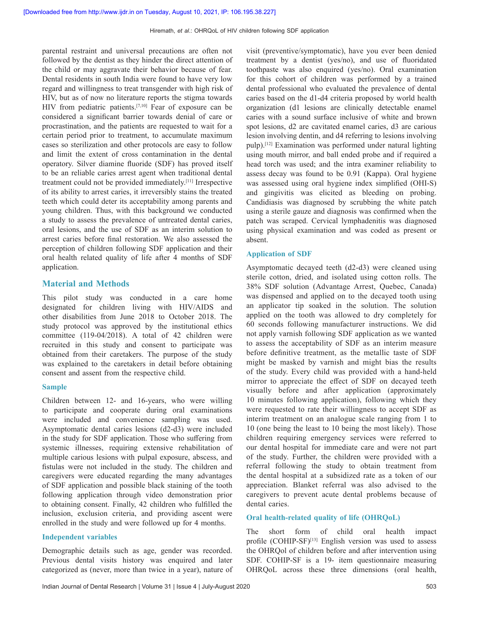parental restraint and universal precautions are often not followed by the dentist as they hinder the direct attention of the child or may aggravate their behavior because of fear. Dental residents in south India were found to have very low regard and willingness to treat transgender with high risk of HIV, but as of now no literature reports the stigma towards HIV from pediatric patients.<sup>[7,10]</sup> Fear of exposure can be considered a significant barrier towards denial of care or procrastination, and the patients are requested to wait for a certain period prior to treatment, to accumulate maximum cases so sterilization and other protocols are easy to follow and limit the extent of cross contamination in the dental operatory. Silver diamine fluoride (SDF) has proved itself to be an reliable caries arrest agent when traditional dental treatment could not be provided immediately.<sup>[11]</sup> Irrespective of its ability to arrest caries, it irreversibly stains the treated teeth which could deter its acceptability among parents and young children. Thus, with this background we conducted a study to assess the prevalence of untreated dental caries, oral lesions, and the use of SDF as an interim solution to arrest caries before final restoration. We also assessed the perception of children following SDF application and their oral health related quality of life after 4 months of SDF application.

# **Material and Methods**

This pilot study was conducted in a care home designated for children living with HIV/AIDS and other disabilities from June 2018 to October 2018. The study protocol was approved by the institutional ethics committee (119-04/2018). A total of 42 children were recruited in this study and consent to participate was obtained from their caretakers. The purpose of the study was explained to the caretakers in detail before obtaining consent and assent from the respective child.

#### **Sample**

Children between 12- and 16-years, who were willing to participate and cooperate during oral examinations were included and convenience sampling was used. Asymptomatic dental caries lesions (d2-d3) were included in the study for SDF application. Those who suffering from systemic illnesses, requiring extensive rehabilitation of multiple carious lesions with pulpal exposure, abscess, and fistulas were not included in the study. The children and caregivers were educated regarding the many advantages of SDF application and possible black staining of the tooth following application through video demonstration prior to obtaining consent. Finally, 42 children who fulfilled the inclusion, exclusion criteria, and providing ascent were enrolled in the study and were followed up for 4 months.

#### **Independent variables**

Demographic details such as age, gender was recorded. Previous dental visits history was enquired and later categorized as (never, more than twice in a year), nature of visit (preventive/symptomatic), have you ever been denied treatment by a dentist (yes/no), and use of fluoridated toothpaste was also enquired (yes/no). Oral examination for this cohort of children was performed by a trained dental professional who evaluated the prevalence of dental caries based on the d1-d4 criteria proposed by world health organization (d1 lesions are clinically detectable enamel caries with a sound surface inclusive of white and brown spot lesions, d2 are cavitated enamel caries, d3 are carious lesion involving dentin, and d4 referring to lesions involving pulp).<sup>[12]</sup> Examination was performed under natural lighting using mouth mirror, and ball ended probe and if required a head torch was used; and the intra examiner reliability to assess decay was found to be 0.91 (Kappa). Oral hygiene was assessed using oral hygiene index simplified (OHI-S) and gingivitis was elicited as bleeding on probing. Candidiasis was diagnosed by scrubbing the white patch using a sterile gauze and diagnosis was confirmed when the patch was scraped. Cervical lymphadenitis was diagnosed using physical examination and was coded as present or absent.

#### **Application of SDF**

Asymptomatic decayed teeth (d2-d3) were cleaned using sterile cotton, dried, and isolated using cotton rolls. The 38% SDF solution (Advantage Arrest, Quebec, Canada) was dispensed and applied on to the decayed tooth using an applicator tip soaked in the solution. The solution applied on the tooth was allowed to dry completely for 60 seconds following manufacturer instructions. We did not apply varnish following SDF application as we wanted to assess the acceptability of SDF as an interim measure before definitive treatment, as the metallic taste of SDF might be masked by varnish and might bias the results of the study. Every child was provided with a hand-held mirror to appreciate the effect of SDF on decayed teeth visually before and after application (approximately 10 minutes following application), following which they were requested to rate their willingness to accept SDF as interim treatment on an analogue scale ranging from 1 to 10 (one being the least to 10 being the most likely). Those children requiring emergency services were referred to our dental hospital for immediate care and were not part of the study. Further, the children were provided with a referral following the study to obtain treatment from the dental hospital at a subsidized rate as a token of our appreciation. Blanket referral was also advised to the caregivers to prevent acute dental problems because of dental caries.

#### **Oral health‑related quality of life (OHRQoL)**

The short form of child oral health impact profile  $(COHIP-SF)^{[13]}$  English version was used to assess the OHRQol of children before and after intervention using SDF. COHIP-SF is a 19– item questionnaire measuring OHRQoL across these three dimensions (oral health,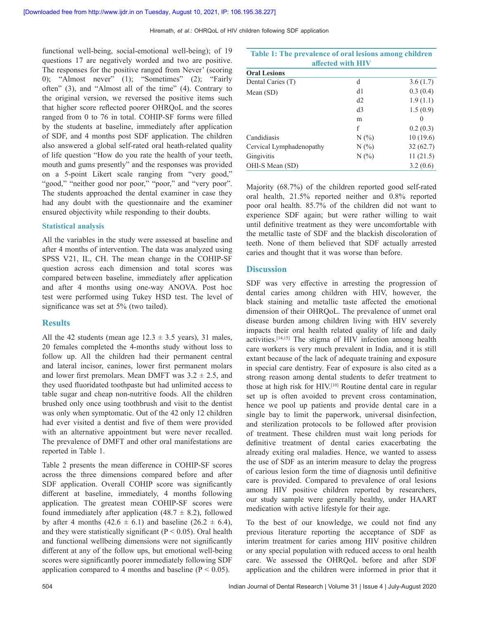functional well-being, social-emotional well-being); of 19 questions 17 are negatively worded and two are positive. The responses for the positive ranged from Never' (scoring 0); "Almost never"  $(1)$ ; "Sometimes"  $(2)$ ; "Fairly often"  $(3)$ , and "Almost all of the time"  $(4)$ . Contrary to the original version, we reversed the positive items such that higher score reflected poorer OHRQoL and the scores ranged from  $0$  to  $76$  in total. COHIP-SF forms were filled by the students at baseline, immediately after application of SDF, and 4 months post SDF application. The children also answered a global self-rated oral heath-related quality of life question "How do you rate the health of your teeth, mouth and gums presently" and the responses was provided on a 5-point Likert scale ranging from "very good," "good," "neither good nor poor," "poor," and "very poor". The students approached the dental examiner in case they had any doubt with the questionnaire and the examiner ensured objectivity while responding to their doubts.

#### **Statistical analysis**

All the variables in the study were assessed at baseline and after 4 months of intervention. The data was analyzed using SPSS V21, IL, CH. The mean change in the COHIP-SF question across each dimension and total scores was compared between baseline, immediately after application and after 4 months using one-way ANOVA. Post hoc test were performed using Tukey HSD test. The level of significance was set at 5% (two tailed).

# **Results**

All the 42 students (mean age  $12.3 \pm 3.5$  years), 31 males, 20 females completed the 4-months study without loss to follow up. All the children had their permanent central and lateral incisor, canines, lower first permanent molars and lower first premolars. Mean DMFT was  $3.2 \pm 2.5$ , and they used fluoridated toothpaste but had unlimited access to table sugar and cheap non-nutritive foods. All the children brushed only once using toothbrush and visit to the dentist was only when symptomatic. Out of the 42 only 12 children had ever visited a dentist and five of them were provided with an alternative appointment but were never recalled. The prevalence of DMFT and other oral manifestations are reported in Table 1.

Table 2 presents the mean difference in COHIP-SF scores across the three dimensions compared before and after SDF application. Overall COHIP score was significantly different at baseline, immediately, 4 months following application. The greatest mean COHIP-SF scores were found immediately after application  $(48.7 \pm 8.2)$ , followed by after 4 months  $(42.6 \pm 6.1)$  and baseline  $(26.2 \pm 6.4)$ , and they were statistically significant ( $P \le 0.05$ ). Oral health and functional wellbeing dimensions were not significantly different at any of the follow ups, but emotional well-being scores were significantly poorer immediately following SDF application compared to 4 months and baseline  $(P < 0.05)$ .

| Table 1: The prevalence of oral lesions among children<br>affected with HIV |                |          |  |  |  |
|-----------------------------------------------------------------------------|----------------|----------|--|--|--|
| <b>Oral Lesions</b>                                                         |                |          |  |  |  |
| Dental Caries (T)                                                           | d              | 3.6(1.7) |  |  |  |
| Mean $(SD)$                                                                 | d1             | 0.3(0.4) |  |  |  |
|                                                                             | d2             | 1.9(1.1) |  |  |  |
|                                                                             | d <sub>3</sub> | 1.5(0.9) |  |  |  |
|                                                                             | m              | 0        |  |  |  |
|                                                                             | f              | 0.2(0.3) |  |  |  |
| Candidiasis                                                                 | N(%            | 10(19.6) |  |  |  |
| Cervical Lymphadenopathy                                                    | N(%            | 32(62.7) |  |  |  |
| Gingivitis                                                                  | N(%            | 11(21.5) |  |  |  |
| OHI-S Mean (SD)                                                             |                | 3.2(0.6) |  |  |  |

Majority  $(68.7%)$  of the children reported good self-rated oral health, 21.5% reported neither and 0.8% reported poor oral health. 85.7% of the children did not want to experience SDF again; but were rather willing to wait until definitive treatment as they were uncomfortable with the metallic taste of SDF and the blackish discoloration of teeth. None of them believed that SDF actually arrested caries and thought that it was worse than before.

# **Discussion**

SDF was very effective in arresting the progression of dental caries among children with HIV, however, the black staining and metallic taste affected the emotional dimension of their OHRQoL. The prevalence of unmet oral disease burden among children living with HIV severely impacts their oral health related quality of life and daily activities.<sup>[14,15]</sup> The stigma of HIV infection among health care workers is very much prevalent in India, and it is still extant because of the lack of adequate training and exposure in special care dentistry. Fear of exposure is also cited as a strong reason among dental students to defer treatment to those at high risk for HIV.<sup>[10]</sup> Routine dental care in regular set up is often avoided to prevent cross contamination, hence we pool up patients and provide dental care in a single bay to limit the paperwork, universal disinfection, and sterilization protocols to be followed after provision of treatment. These children must wait long periods for definitive treatment of dental caries exacerbating the already exiting oral maladies. Hence, we wanted to assess the use of SDF as an interim measure to delay the progress of carious lesion form the time of diagnosis until definitive care is provided. Compared to prevalence of oral lesions among HIV positive children reported by researchers, our study sample were generally healthy, under HAART medication with active lifestyle for their age.

To the best of our knowledge, we could not find any previous literature reporting the acceptance of SDF as interim treatment for caries among HIV positive children or any special population with reduced access to oral health care. We assessed the OHRQoL before and after SDF application and the children were informed in prior that it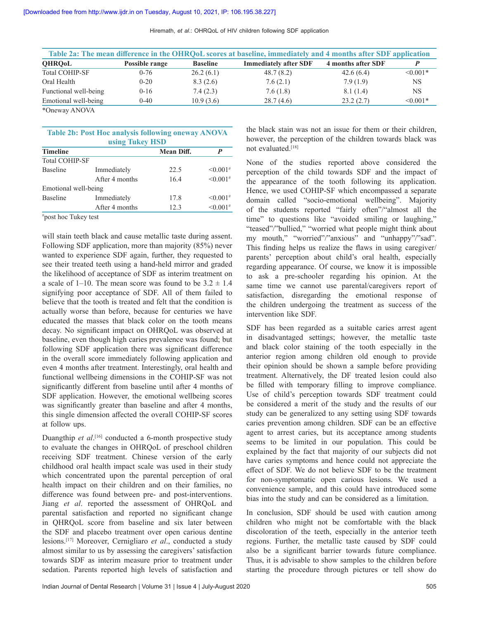| Hiremath, et al.: OHRQoL of HIV children following SDF application |  |  |  |
|--------------------------------------------------------------------|--|--|--|
|--------------------------------------------------------------------|--|--|--|

| Table 2a: The mean difference in the OHRQoL scores at baseline, immediately and 4 months after SDF application |                |                 |                              |                    |            |
|----------------------------------------------------------------------------------------------------------------|----------------|-----------------|------------------------------|--------------------|------------|
| <b>QHRQ0L</b>                                                                                                  | Possible range | <b>Baseline</b> | <b>Immediately after SDF</b> | 4 months after SDF |            |
| <b>Total COHIP-SF</b>                                                                                          | $0 - 76$       | 26.2(6.1)       | 48.7(8.2)                    | 42.6(6.4)          | $< 0.001*$ |
| Oral Health                                                                                                    | $0 - 20$       | 8.3(2.6)        | 7.6(2.1)                     | 7.9(1.9)           | NS.        |
| Functional well-being                                                                                          | $0 - 16$       | 7.4(2.3)        | 7.6(1.8)                     | 8.1(1.4)           | <b>NS</b>  |
| Emotional well-being                                                                                           | $0-40$         | 10.9(3.6)       | 28.7(4.6)                    | 23.2(2.7)          | $< 0.001*$ |
| *Oneway ANOVA                                                                                                  |                |                 |                              |                    |            |

\*Oneway ANOVA

| <b>Table 2b: Post Hoc analysis following oneway ANOVA</b> |  |  |  |
|-----------------------------------------------------------|--|--|--|
| using Tukey HSD                                           |  |  |  |

| <b>Timeline</b>       |                | <b>Mean Diff.</b> | P                      |
|-----------------------|----------------|-------------------|------------------------|
| <b>Total COHIP-SF</b> |                |                   |                        |
| <b>Baseline</b>       | Immediately    | 22.5              | $\leq 0.001^{#}$       |
|                       | After 4 months | 16.4              | $< 0.001$ <sup>#</sup> |
| Emotional well-being  |                |                   |                        |
| <b>Baseline</b>       | Immediately    | 17.8              | $\leq 0.001^{#}$       |
|                       | After 4 months | 12.3              | $\leq 0.001^{#}$       |

#post hoc Tukey test

will stain teeth black and cause metallic taste during assent. Following SDF application, more than majority  $(85%)$  never wanted to experience SDF again, further, they requested to see their treated teeth using a hand-held mirror and graded the likelihood of acceptance of SDF as interim treatment on a scale of 1–10. The mean score was found to be  $3.2 \pm 1.4$ signifying poor acceptance of SDF. All of them failed to believe that the tooth is treated and felt that the condition is actually worse than before, because for centuries we have educated the masses that black color on the tooth means decay. No significant impact on OHRQoL was observed at baseline, even though high caries prevalence was found; but following SDF application there was significant difference in the overall score immediately following application and even 4 months after treatment. Interestingly, oral health and functional wellbeing dimensions in the COHIP-SF was not significantly different from baseline until after 4 months of SDF application. However, the emotional wellbeing scores was significantly greater than baseline and after 4 months, this single dimension affected the overall COHIP-SF scores at follow ups.

Duangthip et al.<sup>[16]</sup> conducted a 6-month prospective study to evaluate the changes in OHRQoL of preschool children receiving SDF treatment. Chinese version of the early childhood oral health impact scale was used in their study which concentrated upon the parental perception of oral health impact on their children and on their families, no difference was found between pre- and post-interventions. Jiang et al. reported the assessment of OHRQoL and parental satisfaction and reported no significant change in OHROoL score from baseline and six later between the SDF and placebo treatment over open carious dentine lesions.<sup>[17]</sup> Moreover, Cernigliaro *et al.*, conducted a study almost similar to us by assessing the caregivers' satisfaction towards SDF as interim measure prior to treatment under sedation. Parents reported high levels of satisfaction and

the black stain was not an issue for them or their children, however, the perception of the children towards black was not evaluated.<sup>[18]</sup>

None of the studies reported above considered the perception of the child towards SDF and the impact of the appearance of the tooth following its application. Hence, we used COHIP-SF which encompassed a separate domain called "socio-emotional wellbeing". Majority of the students reported "fairly often"/"almost all the time" to questions like "avoided smiling or laughing," "teased"/"bullied," "worried what people might think about my mouth," "worried"/"anxious" and "unhappy"/"sad". This finding helps us realize the flaws in using caregiver/ parents' perception about child's oral health, especially regarding appearance. Of course, we know it is impossible to ask a pre-schooler regarding his opinion. At the same time we cannot use parental/caregivers report of satisfaction, disregarding the emotional response of the children undergoing the treatment as success of the intervention like SDF.

SDF has been regarded as a suitable caries arrest agent in disadvantaged settings; however, the metallic taste and black color staining of the tooth especially in the anterior region among children old enough to provide their opinion should be shown a sample before providing treatment. Alternatively, the DF treated lesion could also be filled with temporary filling to improve compliance. Use of child's perception towards SDF treatment could be considered a merit of the study and the results of our study can be generalized to any setting using SDF towards caries prevention among children. SDF can be an effective agent to arrest caries, but its acceptance among students seems to be limited in our population. This could be explained by the fact that majority of our subjects did not have caries symptoms and hence could not appreciate the effect of SDF. We do not believe SDF to be the treatment for non-symptomatic open carious lesions. We used a convenience sample, and this could have introduced some bias into the study and can be considered as a limitation.

In conclusion, SDF should be used with caution among children who might not be comfortable with the black discoloration of the teeth, especially in the anterior teeth regions. Further, the metallic taste caused by SDF could also be a significant barrier towards future compliance. Thus, it is advisable to show samples to the children before starting the procedure through pictures or tell show do